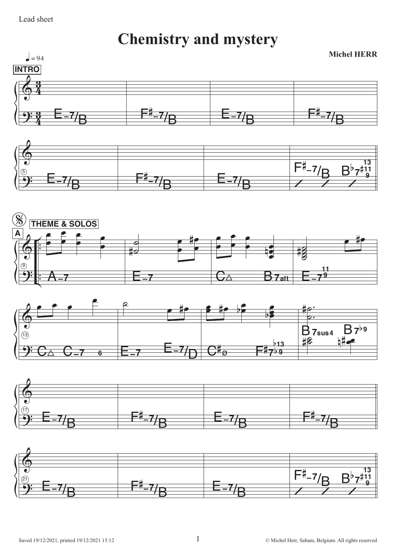## Lead sheet

**Chemistry and mystery** 





 $\,1\,$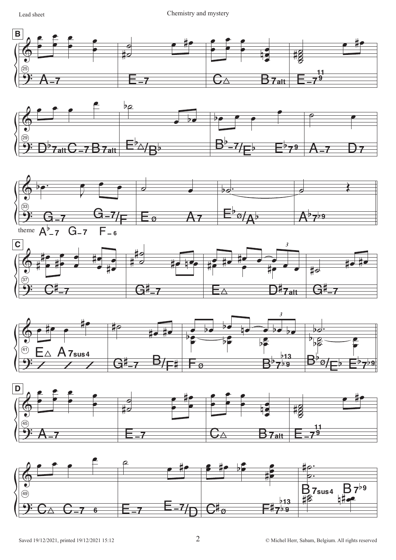